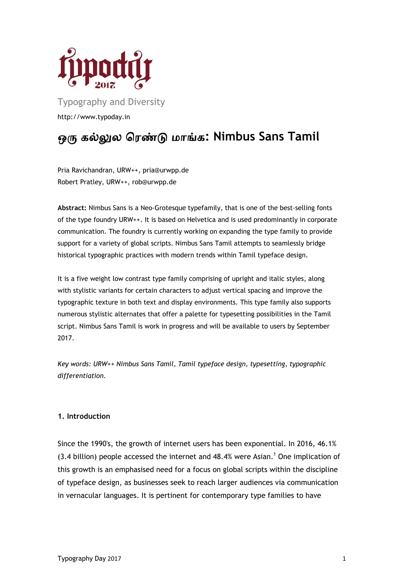

Typography and Diversity http://www.typoday.in

## **: Nimbus Sans Tamil**

Pria Ravichandran, URW++, pria@urwpp.de Robert Pratley, URW++, rob@urwpp.de

**Abstract:** Nimbus Sans is a Neo-Grotesque typefamily, that is one of the best-selling fonts of the type foundry URW++. It is based on Helvetica and is used predominantly in corporate communication. The foundry is currently working on expanding the type family to provide support for a variety of global scripts. Nimbus Sans Tamil attempts to seamlessly bridge historical typographic practices with modern trends within Tamil typeface design.

It is a five weight low contrast type family comprising of upright and italic styles, along with stylistic variants for certain characters to adjust vertical spacing and improve the typographic texture in both text and display environments. This type family also supports numerous stylistic alternates that offer a palette for typesetting possibilities in the Tamil script. Nimbus Sans Tamil is work in progress and will be available to users by September 2017.

*Key words: URW++ Nimbus Sans Tamil, Tamil typeface design, typesetting, typographic differentiation.*

## **1. Introduction**

Since the 1990's, the growth of internet users has been exponential. In 2016, 46.1%  $(3.4$  billion) people accessed the internet and  $48.4\%$  were Asian.<sup>1</sup> One implication of this growth is an emphasised need for a focus on global scripts within the discipline of typeface design, as businesses seek to reach larger audiences via communication in vernacular languages. It is pertinent for contemporary type families to have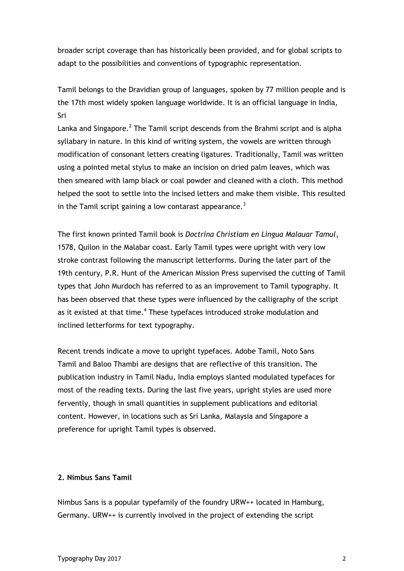broader script coverage than has historically been provided, and for global scripts to adapt to the possibilities and conventions of typographic representation.

Tamil belongs to the Dravidian group of languages, spoken by 77 million people and is the 17th most widely spoken language worldwide. It is an official language in India, Sri

Lanka and Singapore.<sup>2</sup> The Tamil script descends from the Brahmi script and is alpha syllabary in nature. In this kind of writing system, the vowels are written through modification of consonant letters creating ligatures. Traditionally, Tamil was written using a pointed metal stylus to make an incision on dried palm leaves, which was then smeared with lamp black or coal powder and cleaned with a cloth. This method helped the soot to settle into the incised letters and make them visible. This resulted in the Tamil script gaining a low contarast appearance.<sup>3</sup>

The first known printed Tamil book is *Doctrina Christiam en Lingua Malauar Tamul*, 1578, Quilon in the Malabar coast. Early Tamil types were upright with very low stroke contrast following the manuscript letterforms. During the later part of the 19th century, P.R. Hunt of the American Mission Press supervised the cutting of Tamil types that John Murdoch has referred to as an improvement to Tamil typography. It has been observed that these types were influenced by the calligraphy of the script as it existed at that time.<sup>4</sup> These typefaces introduced stroke modulation and inclined letterforms for text typography.

Recent trends indicate a move to upright typefaces. Adobe Tamil, Noto Sans Tamil and Baloo Thambi are designs that are reflective of this transition. The publication industry in Tamil Nadu, India employs slanted modulated typefaces for most of the reading texts. During the last five years, upright styles are used more fervently, though in small quantities in supplement publications and editorial content. However, in locations such as Sri Lanka, Malaysia and Singapore a preference for upright Tamil types is observed.

## **2. Nimbus Sans Tamil**

Nimbus Sans is a popular typefamily of the foundry URW++ located in Hamburg, Germany. URW++ is currently involved in the project of extending the script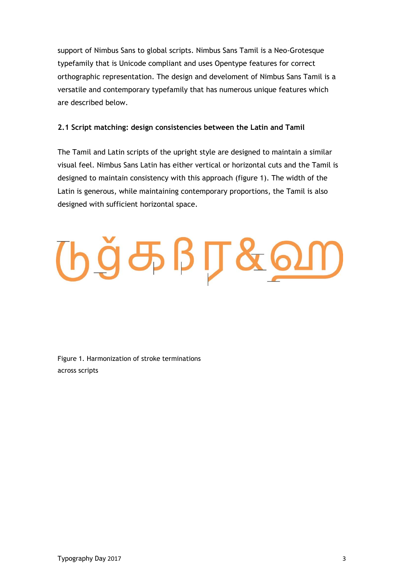support of Nimbus Sans to global scripts. Nimbus Sans Tamil is a Neo-Grotesque typefamily that is Unicode compliant and uses Opentype features for correct orthographic representation. The design and develoment of Nimbus Sans Tamil is a versatile and contemporary typefamily that has numerous unique features which are described below.

## **2.1 Script matching: design consistencies between the Latin and Tamil**

The Tamil and Latin scripts of the upright style are designed to maintain a similar visual feel. Nimbus Sans Latin has either vertical or horizontal cuts and the Tamil is designed to maintain consistency with this approach (figure 1). The width of the Latin is generous, while maintaining contemporary proportions, the Tamil is also designed with sufficient horizontal space.

# $big5BJ800$

Figure 1. Harmonization of stroke terminations across scripts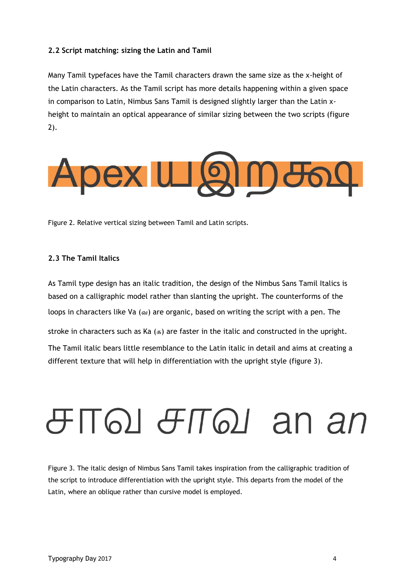## **2.2 Script matching: sizing the Latin and Tamil**

Many Tamil typefaces have the Tamil characters drawn the same size as the x-height of the Latin characters. As the Tamil script has more details happening within a given space in comparison to Latin, Nimbus Sans Tamil is designed slightly larger than the Latin xheight to maintain an optical appearance of similar sizing between the two scripts (figure 2).



Figure 2. Relative vertical sizing between Tamil and Latin scripts.

### **2.3 The Tamil Italics**

As Tamil type design has an italic tradition, the design of the Nimbus Sans Tamil Italics is based on a calligraphic model rather than slanting the upright. The counterforms of the loops in characters like Va (வ) are organic, based on writing the script with a pen. The stroke in characters such as Ka  $(a, b)$  are faster in the italic and constructed in the upright. The Tamil italic bears little resemblance to the Latin italic in detail and aims at creating a different texture that will help in differentiation with the upright style (figure 3).

## $\theta$ TQI  $\theta$ TQI an an

Figure 3. The italic design of Nimbus Sans Tamil takes inspiration from the calligraphic tradition of the script to introduce differentiation with the upright style. This departs from the model of the Latin, where an oblique rather than cursive model is employed.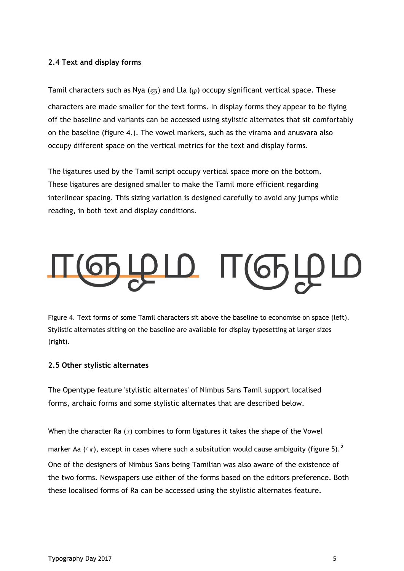## **2.4 Text and display forms**

Tamil characters such as Nya ( $(65)$ ) and Lla ( $\mu$ ) occupy significant vertical space. These characters are made smaller for the text forms. In display forms they appear to be flying off the baseline and variants can be accessed using stylistic alternates that sit comfortably on the baseline (figure 4.). The vowel markers, such as the virama and anusvara also occupy different space on the vertical metrics for the text and display forms.

The ligatures used by the Tamil script occupy vertical space more on the bottom. These ligatures are designed smaller to make the Tamil more efficient regarding interlinear spacing. This sizing variation is designed carefully to avoid any jumps while reading, in both text and display conditions.

## தழம் பழு

Figure 4. Text forms of some Tamil characters sit above the baseline to economise on space (left). Stylistic alternates sitting on the baseline are available for display typesetting at larger sizes (right).

## **2.5 Other stylistic alternates**

The Opentype feature 'stylistic alternates' of Nimbus Sans Tamil support localised forms, archaic forms and some stylistic alternates that are described below.

When the character Ra  $(r)$  combines to form ligatures it takes the shape of the Vowel marker Aa  $(\circ_{\pi})$ , except in cases where such a subsitution would cause ambiguity (figure 5).<sup>5</sup> One of the designers of Nimbus Sans being Tamilian was also aware of the existence of the two forms. Newspapers use either of the forms based on the editors preference. Both these localised forms of Ra can be accessed using the stylistic alternates feature.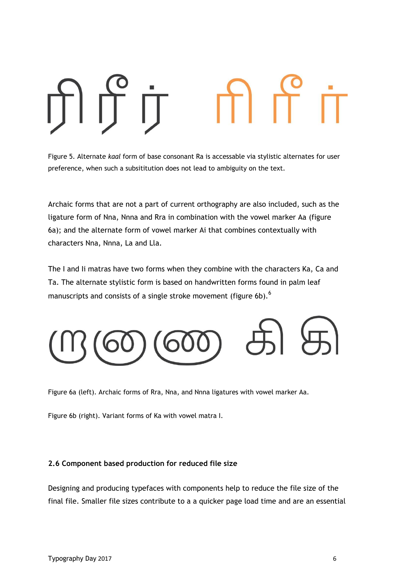Figure 5. Alternate *kaal* form of base consonant Ra is accessable via stylistic alternates for user preference, when such a subsititution does not lead to ambiguity on the text.

Archaic forms that are not a part of current orthography are also included, such as the ligature form of Nna, Nnna and Rra in combination with the vowel marker Aa (figure 6a); and the alternate form of vowel marker Ai that combines contextually with characters Nna, Nnna, La and Lla.

The I and Ii matras have two forms when they combine with the characters Ka, Ca and Ta. The alternate stylistic form is based on handwritten forms found in palm leaf manuscripts and consists of a single stroke movement (figure 6b).<sup>6</sup>



Figure 6a (left). Archaic forms of Rra, Nna, and Nnna ligatures with vowel marker Aa.

Figure 6b (right). Variant forms of Ka with vowel matra I.

## **2.6 Component based production for reduced file size**

Designing and producing typefaces with components help to reduce the file size of the final file. Smaller file sizes contribute to a a quicker page load time and are an essential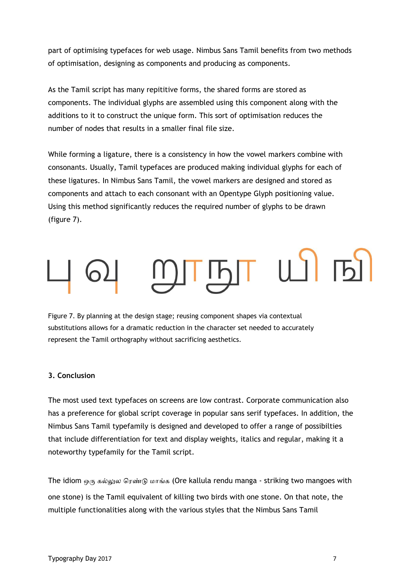part of optimising typefaces for web usage. Nimbus Sans Tamil benefits from two methods of optimisation, designing as components and producing as components.

As the Tamil script has many repititive forms, the shared forms are stored as components. The individual glyphs are assembled using this component along with the additions to it to construct the unique form. This sort of optimisation reduces the number of nodes that results in a smaller final file size.

While forming a ligature, there is a consistency in how the vowel markers combine with consonants. Usually, Tamil typefaces are produced making individual glyphs for each of these ligatures. In Nimbus Sans Tamil, the vowel markers are designed and stored as components and attach to each consonant with an Opentype Glyph positioning value. Using this method significantly reduces the required number of glyphs to be drawn (figure 7).

Figure 7. By planning at the design stage; reusing component shapes via contextual substitutions allows for a dramatic reduction in the character set needed to accurately represent the Tamil orthography without sacrificing aesthetics.

## **3. Conclusion**

The most used text typefaces on screens are low contrast. Corporate communication also has a preference for global script coverage in popular sans serif typefaces. In addition, the Nimbus Sans Tamil typefamily is designed and developed to offer a range of possibilties that include differentiation for text and display weights, italics and regular, making it a noteworthy typefamily for the Tamil script.

The idiom  $\omega_{0}$   $\approx$   $\omega_{0}$   $\omega_{0}$   $\approx$   $\omega_{0}$   $\approx$   $\omega_{0}$   $\approx$   $\omega_{0}$  are is a lore kallula rendu manga - striking two mangoes with one stone) is the Tamil equivalent of killing two birds with one stone. On that note, the multiple functionalities along with the various styles that the Nimbus Sans Tamil